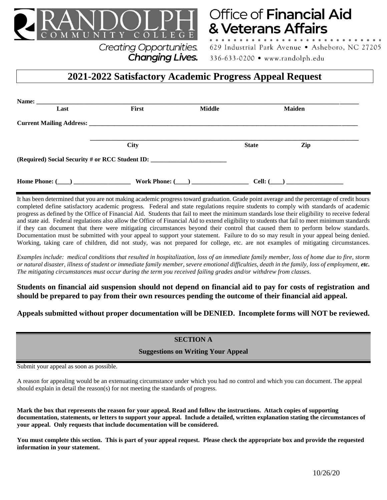

# Office of Financial Aid & Veterans Affairs

**Creating Opportunities. Changing Lives.**  629 Industrial Park Avenue . Asheboro, NC 27205 336-633-0200 • www.randolph.edu

# **2021-2022 Satisfactory Academic Progress Appeal Request**

| Name: $\_\_$ |                                                                                                                                                                                                                                      |               |              |                |  |
|--------------|--------------------------------------------------------------------------------------------------------------------------------------------------------------------------------------------------------------------------------------|---------------|--------------|----------------|--|
| Last         | First                                                                                                                                                                                                                                | <b>Middle</b> |              | <b>Maiden</b>  |  |
|              | <b>Current Mailing Address: Care and Science Address Control of the Control of the Control of the Control of the Control of the Control of the Control of the Control of the Control of the Control of the Control of the Contro</b> |               |              |                |  |
|              | <b>City</b>                                                                                                                                                                                                                          |               | <b>State</b> | Zip            |  |
|              | (Required) Social Security # or RCC Student ID: _________________________________                                                                                                                                                    |               |              |                |  |
|              | Work Phone: ( )                                                                                                                                                                                                                      |               | $Cell:$ (    | $\overline{a}$ |  |

It has been determined that you are not making academic progress toward graduation. Grade point average and the percentage of credit hours completed define satisfactory academic progress. Federal and state regulations require students to comply with standards of academic progress as defined by the Office of Financial Aid. Students that fail to meet the minimum standards lose their eligibility to receive federal and state aid. Federal regulations also allow the Office of Financial Aid to extend eligibility to students that fail to meet minimum standards if they can document that there were mitigating circumstances beyond their control that caused them to perform below standards. Documentation must be submitted with your appeal to support your statement. Failure to do so may result in your appeal being denied. Working, taking care of children, did not study, was not prepared for college, etc. are not examples of mitigating circumstances.

*Examples include: medical conditions that resulted in hospitalization, loss of an immediate family member, loss of home due to fire, storm or natural disaster, illness of student or immediate family member, severe emotional difficulties, death in the family, loss of employment, etc. The mitigating circumstances must occur during the term you received failing grades and/or withdrew from classes*.

**Students on financial aid suspension should not depend on financial aid to pay for costs of registration and should be prepared to pay from their own resources pending the outcome of their financial aid appeal.**

**Appeals submitted without proper documentation will be DENIED. Incomplete forms will NOT be reviewed.**

## **SECTION A**

### **Suggestions on Writing Your Appeal**

Submit your appeal as soon as possible.

A reason for appealing would be an extenuating circumstance under which you had no control and which you can document. The appeal should explain in detail the reason(s) for not meeting the standards of progress.

**Mark the box that represents the reason for your appeal. Read and follow the instructions. Attach copies of supporting documentation, statements, or letters to support your appeal. Include a detailed, written explanation stating the circumstances of your appeal. Only requests that include documentation will be considered.**

**You must complete this section. This is part of your appeal request. Please check the appropriate box and provide the requested information in your statement.**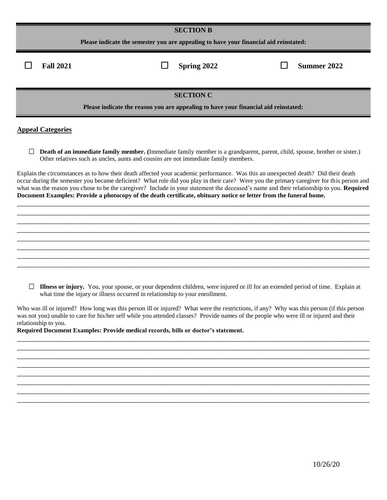| <b>SECTION B</b>                                                                                                                                                                                                                           |             |             |  |  |
|--------------------------------------------------------------------------------------------------------------------------------------------------------------------------------------------------------------------------------------------|-------------|-------------|--|--|
| Please indicate the semester you are appealing to have your financial aid reinstated:                                                                                                                                                      |             |             |  |  |
| <b>Fall 2021</b>                                                                                                                                                                                                                           | Spring 2022 | Summer 2022 |  |  |
| <b>SECTION C</b>                                                                                                                                                                                                                           |             |             |  |  |
| Please indicate the reason you are appealing to have your financial aid reinstated:                                                                                                                                                        |             |             |  |  |
| <b>Appeal Categories</b>                                                                                                                                                                                                                   |             |             |  |  |
| <b>Death of an immediate family member.</b> (Immediate family member is a grandparent, parent, child, spouse, brother or sister.)<br>$\mathbb{R}^n$<br>Other relatives such as uncles, aunts and cousins are not immediate family members. |             |             |  |  |
| Explain the circumstances as to how their death affected your academic performance. Was this an unexpected death? Did their death                                                                                                          |             |             |  |  |

occur during the semester you became deficient? What role did you play in their care? Were you the primary caregiver for this person and what was the reason you chose to be the caregiver? Include in your statement the deceased's name and their relationship to you. **Required Document Examples: Provide a photocopy of the death certificate, obituary notice or letter from the funeral home.**

\_\_\_\_\_\_\_\_\_\_\_\_\_\_\_\_\_\_\_\_\_\_\_\_\_\_\_\_\_\_\_\_\_\_\_\_\_\_\_\_\_\_\_\_\_\_\_\_\_\_\_\_\_\_\_\_\_\_\_\_\_\_\_\_\_\_\_\_\_\_\_\_\_\_\_\_\_\_\_\_\_\_\_\_\_\_\_\_\_\_\_\_\_ \_\_\_\_\_\_\_\_\_\_\_\_\_\_\_\_\_\_\_\_\_\_\_\_\_\_\_\_\_\_\_\_\_\_\_\_\_\_\_\_\_\_\_\_\_\_\_\_\_\_\_\_\_\_\_\_\_\_\_\_\_\_\_\_\_\_\_\_\_\_\_\_\_\_\_\_\_\_\_\_\_\_\_\_\_\_\_\_\_\_\_\_\_ \_\_\_\_\_\_\_\_\_\_\_\_\_\_\_\_\_\_\_\_\_\_\_\_\_\_\_\_\_\_\_\_\_\_\_\_\_\_\_\_\_\_\_\_\_\_\_\_\_\_\_\_\_\_\_\_\_\_\_\_\_\_\_\_\_\_\_\_\_\_\_\_\_\_\_\_\_\_\_\_\_\_\_\_\_\_\_\_\_\_\_\_\_ \_\_\_\_\_\_\_\_\_\_\_\_\_\_\_\_\_\_\_\_\_\_\_\_\_\_\_\_\_\_\_\_\_\_\_\_\_\_\_\_\_\_\_\_\_\_\_\_\_\_\_\_\_\_\_\_\_\_\_\_\_\_\_\_\_\_\_\_\_\_\_\_\_\_\_\_\_\_\_\_\_\_\_\_\_\_\_\_\_\_\_\_\_ \_\_\_\_\_\_\_\_\_\_\_\_\_\_\_\_\_\_\_\_\_\_\_\_\_\_\_\_\_\_\_\_\_\_\_\_\_\_\_\_\_\_\_\_\_\_\_\_\_\_\_\_\_\_\_\_\_\_\_\_\_\_\_\_\_\_\_\_\_\_\_\_\_\_\_\_\_\_\_\_\_\_\_\_\_\_\_\_\_\_\_\_\_ \_\_\_\_\_\_\_\_\_\_\_\_\_\_\_\_\_\_\_\_\_\_\_\_\_\_\_\_\_\_\_\_\_\_\_\_\_\_\_\_\_\_\_\_\_\_\_\_\_\_\_\_\_\_\_\_\_\_\_\_\_\_\_\_\_\_\_\_\_\_\_\_\_\_\_\_\_\_\_\_\_\_\_\_\_\_\_\_\_\_\_\_\_ \_\_\_\_\_\_\_\_\_\_\_\_\_\_\_\_\_\_\_\_\_\_\_\_\_\_\_\_\_\_\_\_\_\_\_\_\_\_\_\_\_\_\_\_\_\_\_\_\_\_\_\_\_\_\_\_\_\_\_\_\_\_\_\_\_\_\_\_\_\_\_\_\_\_\_\_\_\_\_\_\_\_\_\_\_\_\_\_\_\_\_\_\_ \_\_\_\_\_\_\_\_\_\_\_\_\_\_\_\_\_\_\_\_\_\_\_\_\_\_\_\_\_\_\_\_\_\_\_\_\_\_\_\_\_\_\_\_\_\_\_\_\_\_\_\_\_\_\_\_\_\_\_\_\_\_\_\_\_\_\_\_\_\_\_\_\_\_\_\_\_\_\_\_\_\_\_\_\_\_\_\_\_\_\_\_\_

**Illness or injury.** You, your spouse, or your dependent children, were injured or ill for an extended period of time. Explain at what time the injury or illness occurred in relationship to your enrollment.

Who was ill or injured? How long was this person ill or injured? What were the restrictions, if any? Why was this person (if this person was not you) unable to care for his/her self while you attended classes? Provide names of the people who were ill or injured and their relationship to you.

\_\_\_\_\_\_\_\_\_\_\_\_\_\_\_\_\_\_\_\_\_\_\_\_\_\_\_\_\_\_\_\_\_\_\_\_\_\_\_\_\_\_\_\_\_\_\_\_\_\_\_\_\_\_\_\_\_\_\_\_\_\_\_\_\_\_\_\_\_\_\_\_\_\_\_\_\_\_\_\_\_\_\_\_\_\_\_\_\_\_\_\_\_

\_\_\_\_\_\_\_\_\_\_\_\_\_\_\_\_\_\_\_\_\_\_\_\_\_\_\_\_\_\_\_\_\_\_\_\_\_\_\_\_\_\_\_\_\_\_\_\_\_\_\_\_\_\_\_\_\_\_\_\_\_\_\_\_\_\_\_\_\_\_\_\_\_\_\_\_\_\_\_\_\_\_\_\_\_\_\_\_\_\_\_\_\_ \_\_\_\_\_\_\_\_\_\_\_\_\_\_\_\_\_\_\_\_\_\_\_\_\_\_\_\_\_\_\_\_\_\_\_\_\_\_\_\_\_\_\_\_\_\_\_\_\_\_\_\_\_\_\_\_\_\_\_\_\_\_\_\_\_\_\_\_\_\_\_\_\_\_\_\_\_\_\_\_\_\_\_\_\_\_\_\_\_\_\_\_\_ \_\_\_\_\_\_\_\_\_\_\_\_\_\_\_\_\_\_\_\_\_\_\_\_\_\_\_\_\_\_\_\_\_\_\_\_\_\_\_\_\_\_\_\_\_\_\_\_\_\_\_\_\_\_\_\_\_\_\_\_\_\_\_\_\_\_\_\_\_\_\_\_\_\_\_\_\_\_\_\_\_\_\_\_\_\_\_\_\_\_\_\_\_ \_\_\_\_\_\_\_\_\_\_\_\_\_\_\_\_\_\_\_\_\_\_\_\_\_\_\_\_\_\_\_\_\_\_\_\_\_\_\_\_\_\_\_\_\_\_\_\_\_\_\_\_\_\_\_\_\_\_\_\_\_\_\_\_\_\_\_\_\_\_\_\_\_\_\_\_\_\_\_\_\_\_\_\_\_\_\_\_\_\_\_\_\_ \_\_\_\_\_\_\_\_\_\_\_\_\_\_\_\_\_\_\_\_\_\_\_\_\_\_\_\_\_\_\_\_\_\_\_\_\_\_\_\_\_\_\_\_\_\_\_\_\_\_\_\_\_\_\_\_\_\_\_\_\_\_\_\_\_\_\_\_\_\_\_\_\_\_\_\_\_\_\_\_\_\_\_\_\_\_\_\_\_\_\_\_\_ \_\_\_\_\_\_\_\_\_\_\_\_\_\_\_\_\_\_\_\_\_\_\_\_\_\_\_\_\_\_\_\_\_\_\_\_\_\_\_\_\_\_\_\_\_\_\_\_\_\_\_\_\_\_\_\_\_\_\_\_\_\_\_\_\_\_\_\_\_\_\_\_\_\_\_\_\_\_\_\_\_\_\_\_\_\_\_\_\_\_\_\_\_

**Required Document Examples: Provide medical records, bills or doctor's statement.**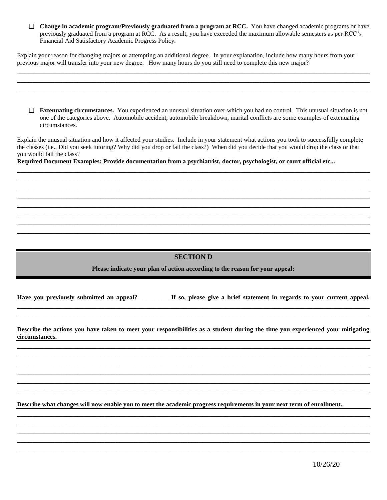**Change in academic program/Previously graduated from a program at RCC.** You have changed academic programs or have previously graduated from a program at RCC. As a result, you have exceeded the maximum allowable semesters as per RCC's Financial Aid Satisfactory Academic Progress Policy.

Explain your reason for changing majors or attempting an additional degree. In your explanation, include how many hours from your previous major will transfer into your new degree. How many hours do you still need to complete this new major?

\_\_\_\_\_\_\_\_\_\_\_\_\_\_\_\_\_\_\_\_\_\_\_\_\_\_\_\_\_\_\_\_\_\_\_\_\_\_\_\_\_\_\_\_\_\_\_\_\_\_\_\_\_\_\_\_\_\_\_\_\_\_\_\_\_\_\_\_\_\_\_\_\_\_\_\_\_\_\_\_\_\_\_\_\_\_\_\_\_\_\_\_\_

**Extenuating circumstances.** You experienced an unusual situation over which you had no control. This unusual situation is not one of the categories above. Automobile accident, automobile breakdown, marital conflicts are some examples of extenuating circumstances.

Explain the unusual situation and how it affected your studies. Include in your statement what actions you took to successfully complete the classes (i.e., Did you seek tutoring? Why did you drop or fail the class?) When did you decide that you would drop the class or that you would fail the class?

\_\_\_\_\_\_\_\_\_\_\_\_\_\_\_\_\_\_\_\_\_\_\_\_\_\_\_\_\_\_\_\_\_\_\_\_\_\_\_\_\_\_\_\_\_\_\_\_\_\_\_\_\_\_\_\_\_\_\_\_\_\_\_\_\_\_\_\_\_\_\_\_\_\_\_\_\_\_\_\_\_\_\_\_\_\_\_\_\_\_\_\_\_ \_\_\_\_\_\_\_\_\_\_\_\_\_\_\_\_\_\_\_\_\_\_\_\_\_\_\_\_\_\_\_\_\_\_\_\_\_\_\_\_\_\_\_\_\_\_\_\_\_\_\_\_\_\_\_\_\_\_\_\_\_\_\_\_\_\_\_\_\_\_\_\_\_\_\_\_\_\_\_\_\_\_\_\_\_\_\_\_\_\_\_\_\_ \_\_\_\_\_\_\_\_\_\_\_\_\_\_\_\_\_\_\_\_\_\_\_\_\_\_\_\_\_\_\_\_\_\_\_\_\_\_\_\_\_\_\_\_\_\_\_\_\_\_\_\_\_\_\_\_\_\_\_\_\_\_\_\_\_\_\_\_\_\_\_\_\_\_\_\_\_\_\_\_\_\_\_\_\_\_\_\_\_\_\_\_\_ \_\_\_\_\_\_\_\_\_\_\_\_\_\_\_\_\_\_\_\_\_\_\_\_\_\_\_\_\_\_\_\_\_\_\_\_\_\_\_\_\_\_\_\_\_\_\_\_\_\_\_\_\_\_\_\_\_\_\_\_\_\_\_\_\_\_\_\_\_\_\_\_\_\_\_\_\_\_\_\_\_\_\_\_\_\_\_\_\_\_\_\_\_ \_\_\_\_\_\_\_\_\_\_\_\_\_\_\_\_\_\_\_\_\_\_\_\_\_\_\_\_\_\_\_\_\_\_\_\_\_\_\_\_\_\_\_\_\_\_\_\_\_\_\_\_\_\_\_\_\_\_\_\_\_\_\_\_\_\_\_\_\_\_\_\_\_\_\_\_\_\_\_\_\_\_\_\_\_\_\_\_\_\_\_\_\_ \_\_\_\_\_\_\_\_\_\_\_\_\_\_\_\_\_\_\_\_\_\_\_\_\_\_\_\_\_\_\_\_\_\_\_\_\_\_\_\_\_\_\_\_\_\_\_\_\_\_\_\_\_\_\_\_\_\_\_\_\_\_\_\_\_\_\_\_\_\_\_\_\_\_\_\_\_\_\_\_\_\_\_\_\_\_\_\_\_\_\_\_\_ \_\_\_\_\_\_\_\_\_\_\_\_\_\_\_\_\_\_\_\_\_\_\_\_\_\_\_\_\_\_\_\_\_\_\_\_\_\_\_\_\_\_\_\_\_\_\_\_\_\_\_\_\_\_\_\_\_\_\_\_\_\_\_\_\_\_\_\_\_\_\_\_\_\_\_\_\_\_\_\_\_\_\_\_\_\_\_\_\_\_\_\_\_ \_\_\_\_\_\_\_\_\_\_\_\_\_\_\_\_\_\_\_\_\_\_\_\_\_\_\_\_\_\_\_\_\_\_\_\_\_\_\_\_\_\_\_\_\_\_\_\_\_\_\_\_\_\_\_\_\_\_\_\_\_\_\_\_\_\_\_\_\_\_\_\_\_\_\_\_\_\_\_\_\_\_\_\_\_\_\_\_\_\_\_\_\_

**Required Document Examples: Provide documentation from a psychiatrist, doctor, psychologist, or court official etc...**

### **SECTION D**

**Please indicate your plan of action according to the reason for your appeal:**

**Have you previously submitted an appeal? \_\_\_\_\_\_\_\_ If so, please give a brief statement in regards to your current appeal.** 

\_\_\_\_\_\_\_\_\_\_\_\_\_\_\_\_\_\_\_\_\_\_\_\_\_\_\_\_\_\_\_\_\_\_\_\_\_\_\_\_\_\_\_\_\_\_\_\_\_\_\_\_\_\_\_\_\_\_\_\_\_\_\_\_\_\_\_\_\_\_\_\_\_\_\_\_\_\_\_\_\_\_\_\_\_\_\_\_\_\_\_\_\_

 $\mathcal{L}_\mathcal{L} = \{ \mathcal{L}_\mathcal{L} = \{ \mathcal{L}_\mathcal{L} = \{ \mathcal{L}_\mathcal{L} = \{ \mathcal{L}_\mathcal{L} = \{ \mathcal{L}_\mathcal{L} = \{ \mathcal{L}_\mathcal{L} = \{ \mathcal{L}_\mathcal{L} = \{ \mathcal{L}_\mathcal{L} = \{ \mathcal{L}_\mathcal{L} = \{ \mathcal{L}_\mathcal{L} = \{ \mathcal{L}_\mathcal{L} = \{ \mathcal{L}_\mathcal{L} = \{ \mathcal{L}_\mathcal{L} = \{ \mathcal{L}_\mathcal{$ 

**Describe the actions you have taken to meet your responsibilities as a student during the time you experienced your mitigating circumstances.**

\_\_\_\_\_\_\_\_\_\_\_\_\_\_\_\_\_\_\_\_\_\_\_\_\_\_\_\_\_\_\_\_\_\_\_\_\_\_\_\_\_\_\_\_\_\_\_\_\_\_\_\_\_\_\_\_\_\_\_\_\_\_\_\_\_\_\_\_\_\_\_\_\_\_\_\_\_\_\_\_\_\_\_\_\_\_\_\_\_\_\_\_\_ \_\_\_\_\_\_\_\_\_\_\_\_\_\_\_\_\_\_\_\_\_\_\_\_\_\_\_\_\_\_\_\_\_\_\_\_\_\_\_\_\_\_\_\_\_\_\_\_\_\_\_\_\_\_\_\_\_\_\_\_\_\_\_\_\_\_\_\_\_\_\_\_\_\_\_\_\_\_\_\_\_\_\_\_\_\_\_\_\_\_\_\_\_ \_\_\_\_\_\_\_\_\_\_\_\_\_\_\_\_\_\_\_\_\_\_\_\_\_\_\_\_\_\_\_\_\_\_\_\_\_\_\_\_\_\_\_\_\_\_\_\_\_\_\_\_\_\_\_\_\_\_\_\_\_\_\_\_\_\_\_\_\_\_\_\_\_\_\_\_\_\_\_\_\_\_\_\_\_\_\_\_\_\_\_\_\_ \_\_\_\_\_\_\_\_\_\_\_\_\_\_\_\_\_\_\_\_\_\_\_\_\_\_\_\_\_\_\_\_\_\_\_\_\_\_\_\_\_\_\_\_\_\_\_\_\_\_\_\_\_\_\_\_\_\_\_\_\_\_\_\_\_\_\_\_\_\_\_\_\_\_\_\_\_\_\_\_\_\_\_\_\_\_\_\_\_\_\_\_\_ \_\_\_\_\_\_\_\_\_\_\_\_\_\_\_\_\_\_\_\_\_\_\_\_\_\_\_\_\_\_\_\_\_\_\_\_\_\_\_\_\_\_\_\_\_\_\_\_\_\_\_\_\_\_\_\_\_\_\_\_\_\_\_\_\_\_\_\_\_\_\_\_\_\_\_\_\_\_\_\_\_\_\_\_\_\_\_\_\_\_\_\_\_ \_\_\_\_\_\_\_\_\_\_\_\_\_\_\_\_\_\_\_\_\_\_\_\_\_\_\_\_\_\_\_\_\_\_\_\_\_\_\_\_\_\_\_\_\_\_\_\_\_\_\_\_\_\_\_\_\_\_\_\_\_\_\_\_\_\_\_\_\_\_\_\_\_\_\_\_\_\_\_\_\_\_\_\_\_\_\_\_\_\_\_\_\_

\_\_\_\_\_\_\_\_\_\_\_\_\_\_\_\_\_\_\_\_\_\_\_\_\_\_\_\_\_\_\_\_\_\_\_\_\_\_\_\_\_\_\_\_\_\_\_\_\_\_\_\_\_\_\_\_\_\_\_\_\_\_\_\_\_\_\_\_\_\_\_\_\_\_\_\_\_\_\_\_\_\_\_\_\_\_\_\_\_\_\_\_\_ \_\_\_\_\_\_\_\_\_\_\_\_\_\_\_\_\_\_\_\_\_\_\_\_\_\_\_\_\_\_\_\_\_\_\_\_\_\_\_\_\_\_\_\_\_\_\_\_\_\_\_\_\_\_\_\_\_\_\_\_\_\_\_\_\_\_\_\_\_\_\_\_\_\_\_\_\_\_\_\_\_\_\_\_\_\_\_\_\_\_\_\_\_ \_\_\_\_\_\_\_\_\_\_\_\_\_\_\_\_\_\_\_\_\_\_\_\_\_\_\_\_\_\_\_\_\_\_\_\_\_\_\_\_\_\_\_\_\_\_\_\_\_\_\_\_\_\_\_\_\_\_\_\_\_\_\_\_\_\_\_\_\_\_\_\_\_\_\_\_\_\_\_\_\_\_\_\_\_\_\_\_\_\_\_\_\_ \_\_\_\_\_\_\_\_\_\_\_\_\_\_\_\_\_\_\_\_\_\_\_\_\_\_\_\_\_\_\_\_\_\_\_\_\_\_\_\_\_\_\_\_\_\_\_\_\_\_\_\_\_\_\_\_\_\_\_\_\_\_\_\_\_\_\_\_\_\_\_\_\_\_\_\_\_\_\_\_\_\_\_\_\_\_\_\_\_\_\_\_\_ \_\_\_\_\_\_\_\_\_\_\_\_\_\_\_\_\_\_\_\_\_\_\_\_\_\_\_\_\_\_\_\_\_\_\_\_\_\_\_\_\_\_\_\_\_\_\_\_\_\_\_\_\_\_\_\_\_\_\_\_\_\_\_\_\_\_\_\_\_\_\_\_\_\_\_\_\_\_\_\_\_\_\_\_\_\_\_\_\_\_\_\_\_

**Describe what changes will now enable you to meet the academic progress requirements in your next term of enrollment.**